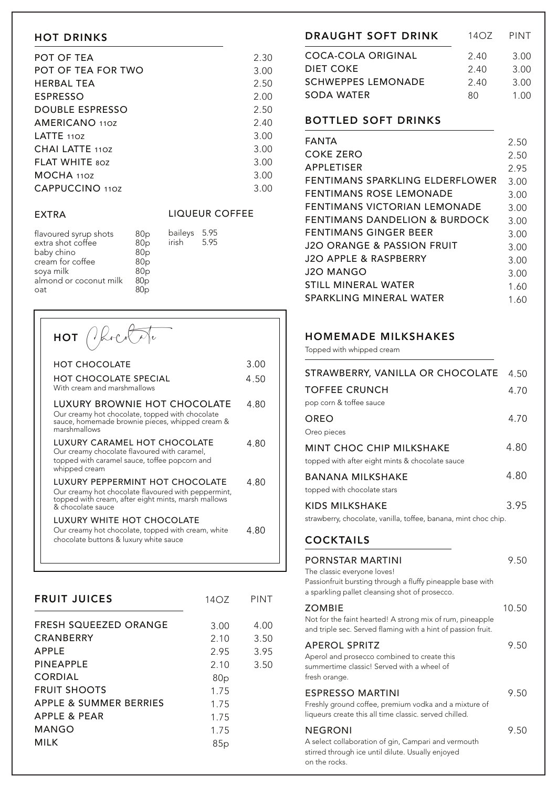### HOT DRINKS

| POT OF TEA            | 2.30 |
|-----------------------|------|
| POT OF TEA FOR TWO    | 3.00 |
| <b>HERBAL TEA</b>     | 2.50 |
| <b>ESPRESSO</b>       | 2.00 |
| DOUBLE ESPRESSO       | 2.50 |
| AMERICANO 110Z        | 2.40 |
| LATTE $110Z$          | 3.00 |
| CHAI LATTE 110Z       | 3.00 |
| <b>FLAT WHITE 80Z</b> | 3.00 |
| MOCHA 110Z            | 3.00 |
| CAPPUCCINO 110Z       | 3.00 |

#### EXTRA

#### LIQUEUR COFFEE

| flavoured syrup shots<br>extra shot coffee<br>baby chino<br>cream for coffee<br>soya milk<br>almond or coconut milk | 80 <sub>p</sub><br>80 <sub>p</sub><br>80 <sub>p</sub><br>80 <sub>p</sub><br>80 <sub>p</sub><br>80 <sub>p</sub> | baileys<br>irish | 5.95<br>5.95 |
|---------------------------------------------------------------------------------------------------------------------|----------------------------------------------------------------------------------------------------------------|------------------|--------------|
| oat                                                                                                                 | 80 <sub>D</sub>                                                                                                |                  |              |

| $HOT$ (level)                                                                                                                                                      |      |
|--------------------------------------------------------------------------------------------------------------------------------------------------------------------|------|
| <b>HOT CHOCOLATE</b>                                                                                                                                               | 3.00 |
| <b>HOT CHOCOLATE SPECIAL</b><br>With cream and marshmallows                                                                                                        | 4.50 |
| LUXURY BROWNIE HOT CHOCOLATE<br>Our creamy hot chocolate, topped with chocolate<br>sauce, homemade brownie pieces, whipped cream &<br>marshmallows                 | 4 80 |
| LUXURY CARAMEL HOT CHOCOLATE<br>Our creamy chocolate flavoured with caramel,<br>topped with caramel sauce, toffee popcorn and<br>whipped cream                     | 4 80 |
| LUXURY PEPPERMINT HOT CHOCOLATE<br>Our creamy hot chocolate flavoured with peppermint,<br>topped with cream, after eight mints, marsh mallows<br>& chocolate sauce | 4.80 |
| LUXURY WHITE HOT CHOCOLATE<br>Our creamy hot chocolate, topped with cream, white<br>chocolate buttons & luxury white sauce                                         | 4.80 |

| <b>FRUIT JUICES</b>                              | 14OZ         | <b>PINT</b>  |
|--------------------------------------------------|--------------|--------------|
| <b>FRESH SQUEEZED ORANGE</b><br><b>CRANBERRY</b> | 3.00         | 4.00<br>3.50 |
| <b>APPLE</b>                                     | 2.10<br>2.95 | 3.95         |
| PINEAPPLE<br>CORDIAL                             | 2.10<br>80p  | 3.50         |
| <b>FRUIT SHOOTS</b>                              | 1.75         |              |
| APPLE & SUMMER BERRIES<br>APPLE & PEAR           | 1.75<br>1.75 |              |
| MANGO                                            | 1.75         |              |
| <b>MILK</b>                                      | 85p          |              |

| <b>DRAUGHT SOFT DRINK</b> | 1407 | PINT |
|---------------------------|------|------|
| COCA-COLA ORIGINAL        | 2.40 | 3.00 |
| DIET COKE                 | 2.40 | 3.00 |
| <b>SCHWEPPES LEMONADE</b> | 2.40 | 3.00 |
| SODA WATER                | RΩ   | 1 NO |
|                           |      |      |

## BOTTLED SOFT DRINKS

| FANTA                                    | 2.50 |
|------------------------------------------|------|
| COKE ZERO                                | 2.50 |
| <b>APPLETISER</b>                        | 2.95 |
| FENTIMANS SPARKLING ELDERFLOWER          | 3.00 |
| <b>FENTIMANS ROSE LEMONADE</b>           | 3.00 |
| FENTIMANS VICTORIAN I EMONADE            | 3.00 |
| <b>FENTIMANS DANDELION &amp; BURDOCK</b> | 3.00 |
| FENTIMANS GINGER BEER                    | 3.00 |
| J2O ORANGE & PASSION FRUIT               | 3.00 |
| J2O APPLE & RASPBERRY                    | 3.00 |
| J2O MANGO                                | 3.00 |
| STILL MINERAL WATER                      | 1.60 |
| SPARKLING MINERAL WATER                  | 1.60 |

# HOMEMADE MILKSHAKES

Topped with whipped cream

| STRAWBERRY, VANILLA OR CHOCOLATE                                                                                                                                | 4.50  |
|-----------------------------------------------------------------------------------------------------------------------------------------------------------------|-------|
| <b>TOFFEE CRUNCH</b><br>pop corn & toffee sauce                                                                                                                 | 4.70  |
| OREO                                                                                                                                                            | 4.70  |
| Oreo pieces                                                                                                                                                     |       |
| <b>MINT CHOC CHIP MILKSHAKE</b><br>topped with after eight mints & chocolate sauce                                                                              | 4.80  |
| <b>BANANA MILKSHAKE</b>                                                                                                                                         | 4.80  |
| topped with chocolate stars                                                                                                                                     |       |
| <b>KIDS MILKSHAKE</b>                                                                                                                                           | 3.95  |
| strawberry, chocolate, vanilla, toffee, banana, mint choc chip.                                                                                                 |       |
| <b>COCKTAILS</b>                                                                                                                                                |       |
|                                                                                                                                                                 |       |
| PORNSTAR MARTINI<br>The classic everyone loves!<br>Passionfruit bursting through a fluffy pineapple base with<br>a sparkling pallet cleansing shot of prosecco. | 9.50  |
| <b>ZOMBIE</b>                                                                                                                                                   | 10.50 |
| Not for the faint hearted! A strong mix of rum, pineapple<br>and triple sec. Served flaming with a hint of passion fruit.                                       |       |
| <b>APEROL SPRITZ</b><br>Aperol and prosecco combined to create this<br>summertime classic! Served with a wheel of<br>fresh orange.                              | 9.50  |
| <b>ESPRESSO MARTINI</b><br>Freshly ground coffee, premium vodka and a mixture of<br>liqueurs create this all time classic. served chilled.                      | 9.50  |

A select collaboration of gin, Campari and vermouth stirred through ice until dilute. Usually enjoyed on the rocks.